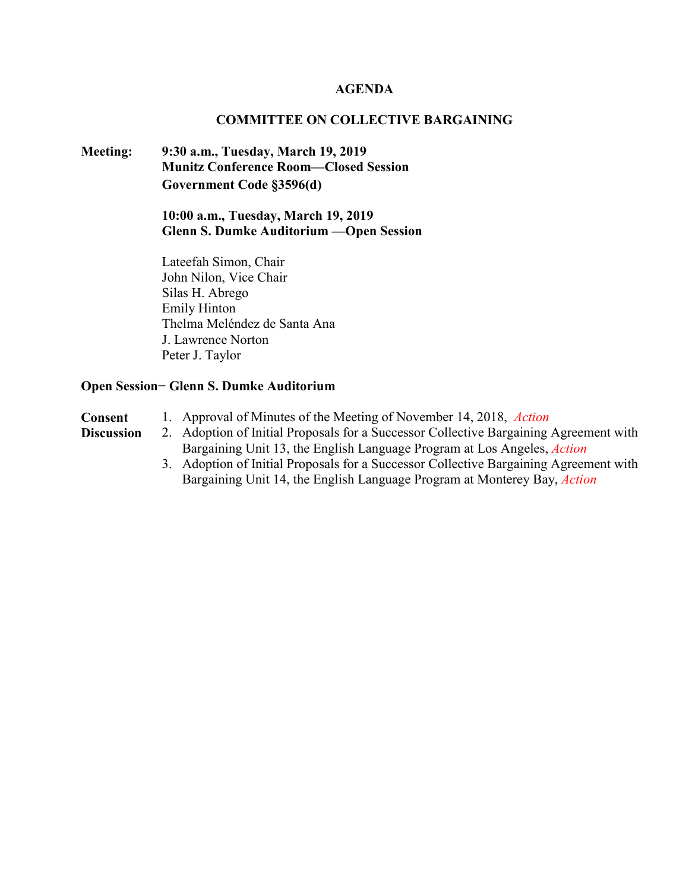### **AGENDA**

#### **COMMITTEE ON COLLECTIVE BARGAINING**

### **Meeting: 9:30 a.m., Tuesday, March 19, 2019 Munitz Conference Room—Closed Session Government Code §3596(d)**

**10:00 a.m., Tuesday, March 19, 2019 Glenn S. Dumke Auditorium —Open Session**

Lateefah Simon, Chair John Nilon, Vice Chair Silas H. Abrego Emily Hinton Thelma Meléndez de Santa Ana J. Lawrence Norton Peter J. Taylor

#### **Open Session− Glenn S. Dumke Auditorium**

- **Consent** 1. Approval of Minutes of the Meeting of November 14, 2018, *Action*
- **Discussion** 2. Adoption of Initial Proposals for a Successor Collective Bargaining Agreement with Bargaining Unit 13, the English Language Program at Los Angeles, *Action*
	- 3. Adoption of Initial Proposals for a Successor Collective Bargaining Agreement with Bargaining Unit 14, the English Language Program at Monterey Bay, *Action*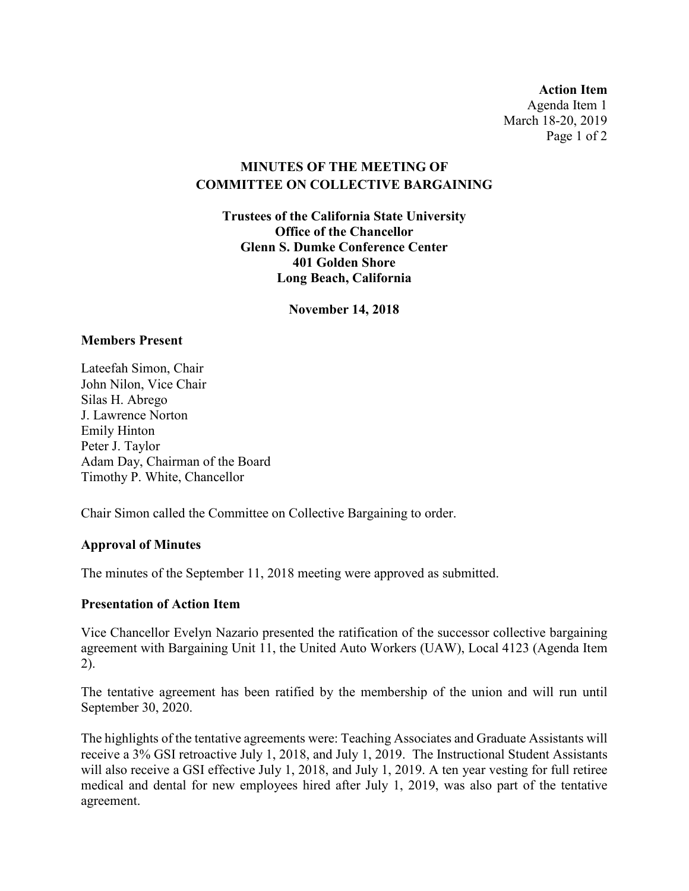**Action Item** Agenda Item 1 March 18-20, 2019 Page 1 of 2

### **MINUTES OF THE MEETING OF COMMITTEE ON COLLECTIVE BARGAINING**

**Trustees of the California State University Office of the Chancellor Glenn S. Dumke Conference Center 401 Golden Shore Long Beach, California**

**November 14, 2018**

### **Members Present**

Lateefah Simon, Chair John Nilon, Vice Chair Silas H. Abrego J. Lawrence Norton Emily Hinton Peter J. Taylor Adam Day, Chairman of the Board Timothy P. White, Chancellor

Chair Simon called the Committee on Collective Bargaining to order.

### **Approval of Minutes**

The minutes of the September 11, 2018 meeting were approved as submitted.

### **Presentation of Action Item**

Vice Chancellor Evelyn Nazario presented the ratification of the successor collective bargaining agreement with Bargaining Unit 11, the United Auto Workers (UAW), Local 4123 (Agenda Item 2).

The tentative agreement has been ratified by the membership of the union and will run until September 30, 2020.

The highlights of the tentative agreements were: Teaching Associates and Graduate Assistants will receive a 3% GSI retroactive July 1, 2018, and July 1, 2019. The Instructional Student Assistants will also receive a GSI effective July 1, 2018, and July 1, 2019. A ten year vesting for full retiree medical and dental for new employees hired after July 1, 2019, was also part of the tentative agreement.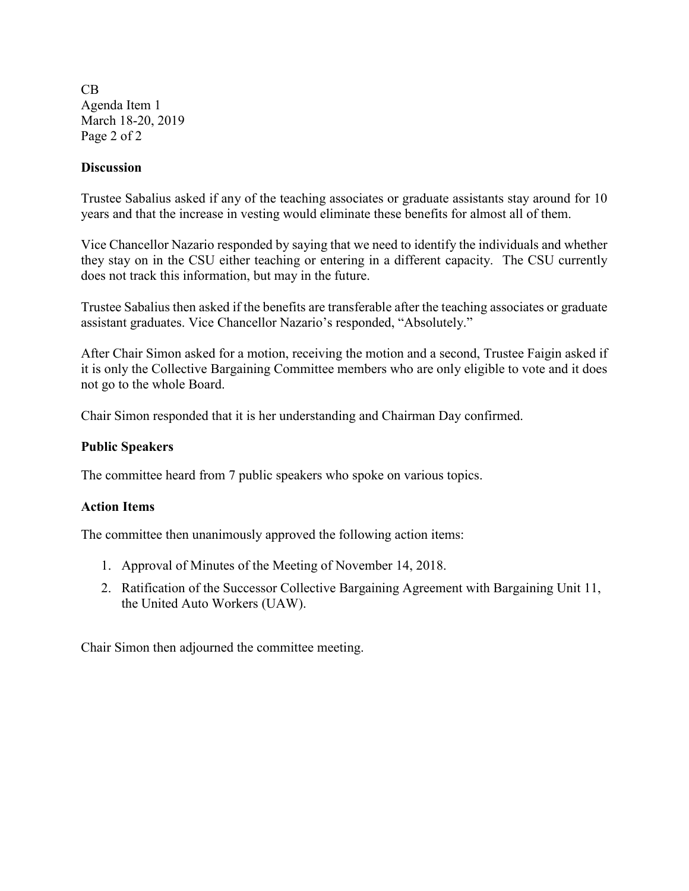CB Agenda Item 1 March 18-20, 2019 Page 2 of 2

### **Discussion**

Trustee Sabalius asked if any of the teaching associates or graduate assistants stay around for 10 years and that the increase in vesting would eliminate these benefits for almost all of them.

Vice Chancellor Nazario responded by saying that we need to identify the individuals and whether they stay on in the CSU either teaching or entering in a different capacity. The CSU currently does not track this information, but may in the future.

Trustee Sabalius then asked if the benefits are transferable after the teaching associates or graduate assistant graduates. Vice Chancellor Nazario's responded, "Absolutely."

After Chair Simon asked for a motion, receiving the motion and a second, Trustee Faigin asked if it is only the Collective Bargaining Committee members who are only eligible to vote and it does not go to the whole Board.

Chair Simon responded that it is her understanding and Chairman Day confirmed.

### **Public Speakers**

The committee heard from 7 public speakers who spoke on various topics.

### **Action Items**

The committee then unanimously approved the following action items:

- 1. Approval of Minutes of the Meeting of November 14, 2018.
- 2. Ratification of the Successor Collective Bargaining Agreement with Bargaining Unit 11, the United Auto Workers (UAW).

Chair Simon then adjourned the committee meeting.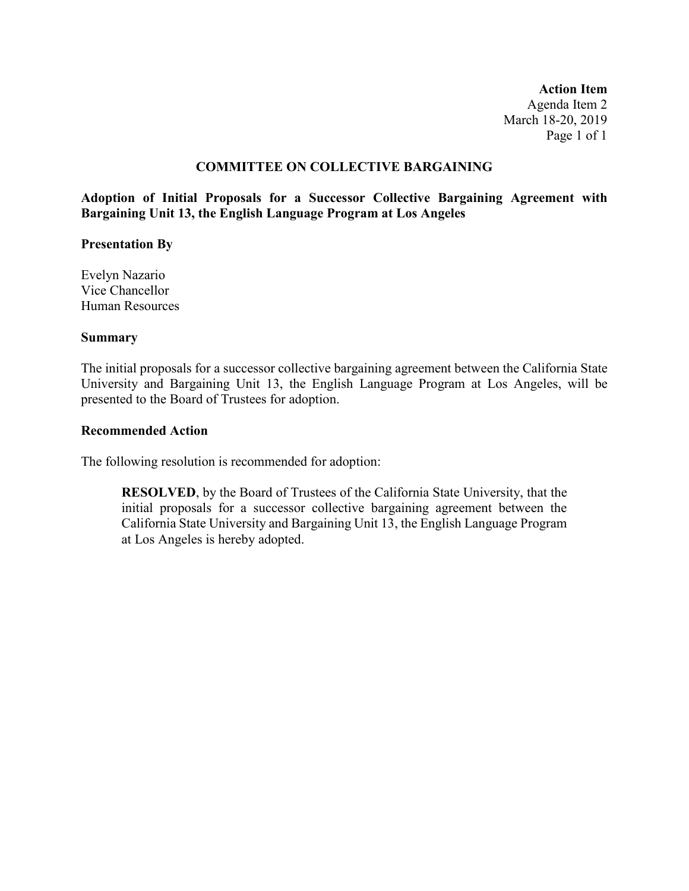**Action Item** Agenda Item 2 March 18-20, 2019 Page 1 of 1

### **COMMITTEE ON COLLECTIVE BARGAINING**

**Adoption of Initial Proposals for a Successor Collective Bargaining Agreement with Bargaining Unit 13, the English Language Program at Los Angeles**

#### **Presentation By**

Evelyn Nazario Vice Chancellor Human Resources

#### **Summary**

The initial proposals for a successor collective bargaining agreement between the California State University and Bargaining Unit 13, the English Language Program at Los Angeles, will be presented to the Board of Trustees for adoption.

#### **Recommended Action**

The following resolution is recommended for adoption:

**RESOLVED**, by the Board of Trustees of the California State University, that the initial proposals for a successor collective bargaining agreement between the California State University and Bargaining Unit 13, the English Language Program at Los Angeles is hereby adopted.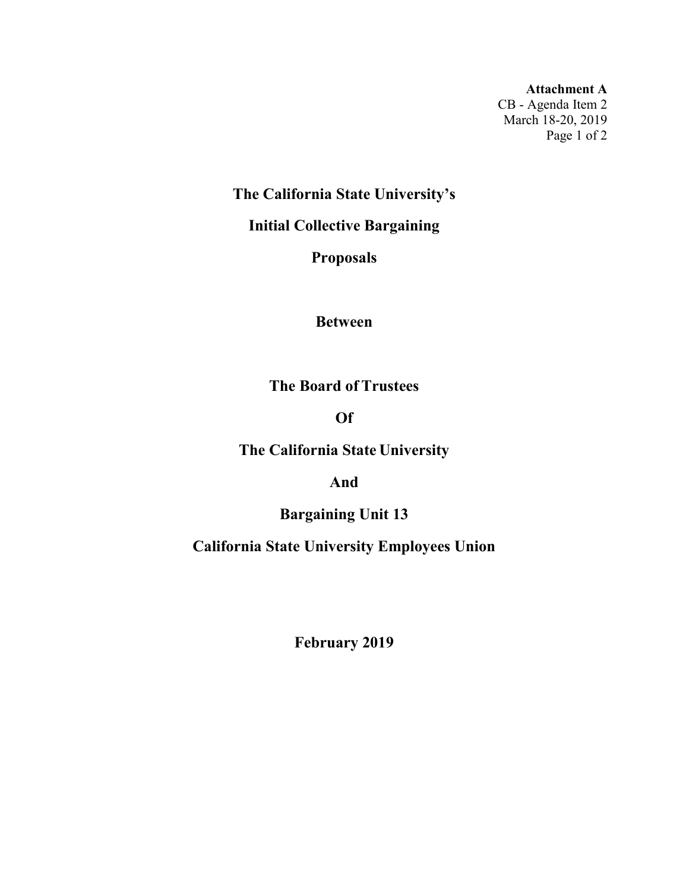**Attachment A** CB - Agenda Item 2 March 18-20, 2019 Page 1 of 2

**The California State University's** 

**Initial Collective Bargaining** 

**Proposals**

**Between**

**The Board of Trustees** 

**Of**

**The California State University** 

**And**

**Bargaining Unit 13**

**California State University Employees Union**

**February 2019**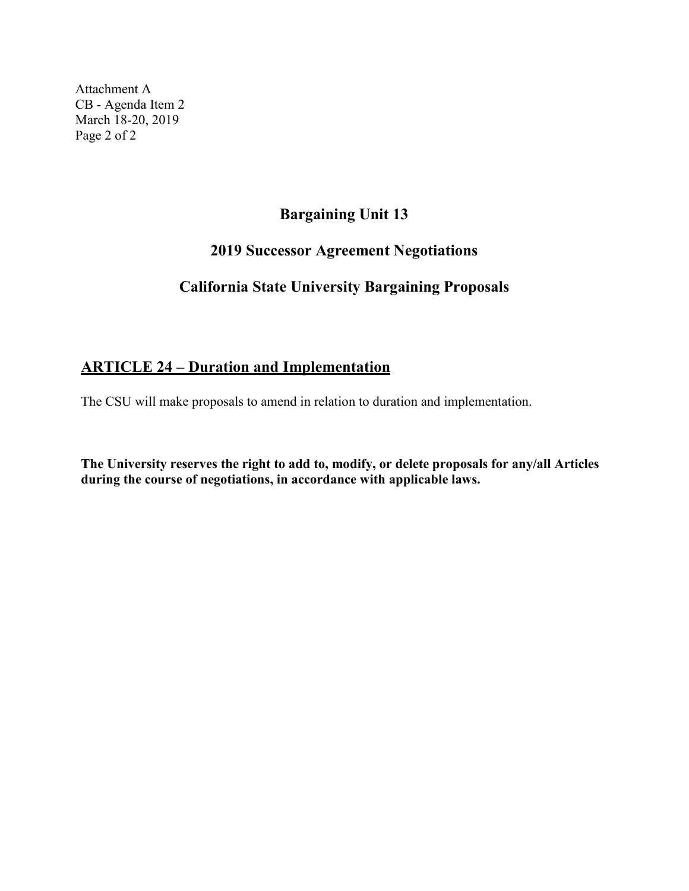Attachment A CB - Agenda Item 2 March 18-20, 2019 Page 2 of 2

## **Bargaining Unit 13**

## **2019 Successor Agreement Negotiations**

## **California State University Bargaining Proposals**

# **ARTICLE 24 – Duration and Implementation**

The CSU will make proposals to amend in relation to duration and implementation.

**The University reserves the right to add to, modify, or delete proposals for any/all Articles during the course of negotiations, in accordance with applicable laws.**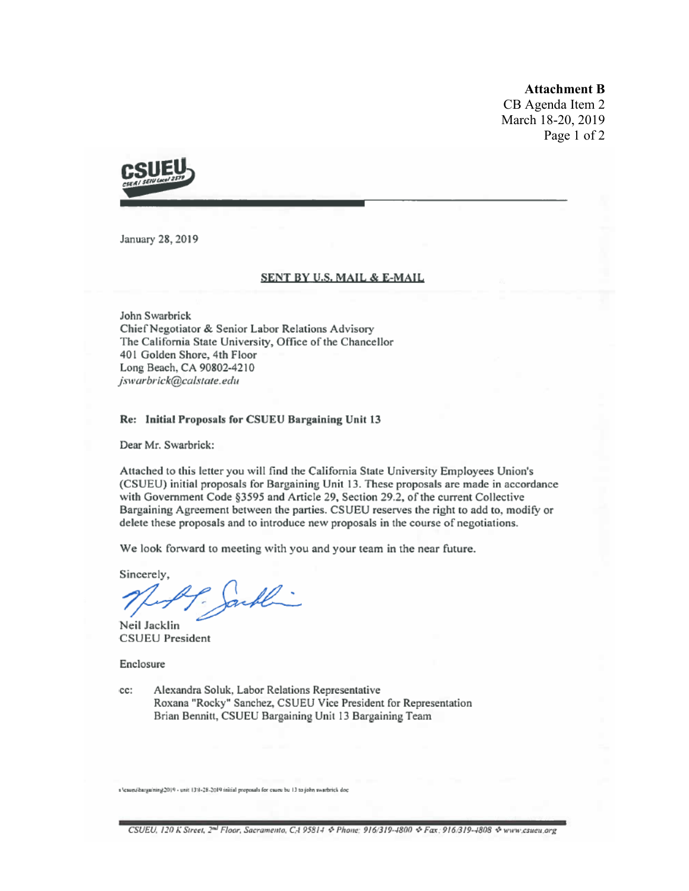**Attachment B**

CB Agenda Item 2 March 18-20, 2019 Page 1 of 2



January 28, 2019

#### SENT BY U.S. MAIL & E-MAIL

John Swarbrick Chief Negotiator & Senior Labor Relations Advisory The California State University, Office of the Chancellor 401 Golden Shore, 4th Floor Long Beach, CA 90802-4210 jswarbrick@calstate.edu

#### Re: Initial Proposals for CSUEU Bargaining Unit 13

Dear Mr. Swarbrick:

Attached to this letter you will find the California State University Employees Union's (CSUEU) initial proposals for Bargaining Unit 13. These proposals are made in accordance with Government Code §3595 and Article 29, Section 29.2, of the current Collective Bargaining Agreement between the parties. CSUEU reserves the right to add to, modify or delete these proposals and to introduce new proposals in the course of negotiations.

We look forward to meeting with you and your team in the near future.

Sincerely, Al

Neil Jacklin **CSUEU President** 

Enclosure

Alexandra Soluk, Labor Relations Representative cc: Roxana "Rocky" Sanchez, CSUEU Vice President for Representation Brian Bennitt, CSUEU Bargaining Unit 13 Bargaining Team

s 'csues/bargaining 2019 - unit 1311-28-2019 initial proposals for csueu bu 13 to john swarbrick doc

CSUEU, 120 K Street, 2<sup>nd</sup> Floor, Sacramento, CA 95814 & Phone: 916/319-4800 & Fax: 916/319-4808 & www.csueu.org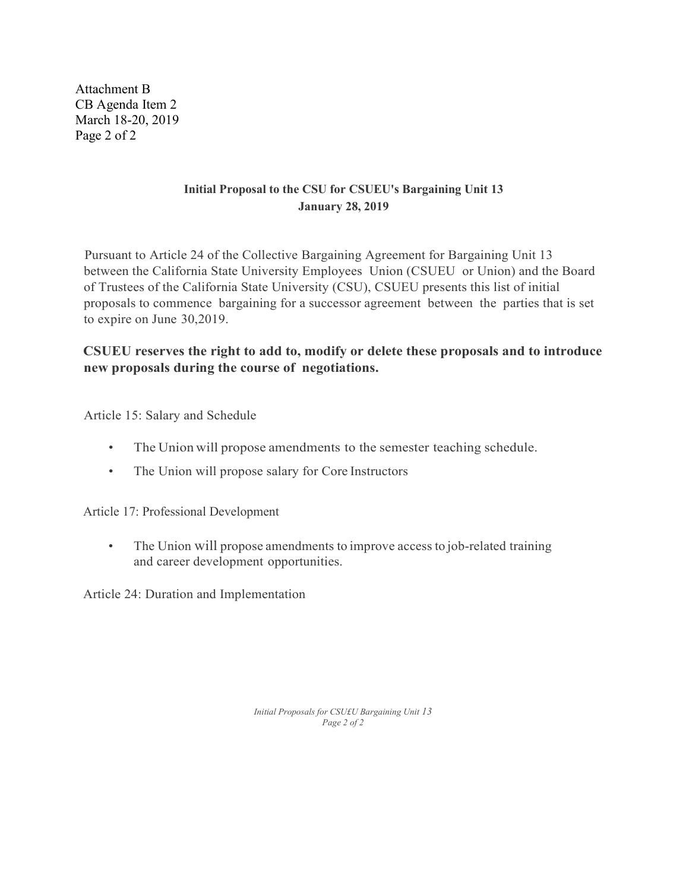Attachment B CB Agenda Item 2 March 18-20, 2019 Page 2 of 2

### **Initial Proposal to the CSU for CSUEU's Bargaining Unit 13 January 28, 2019**

Pursuant to Article 24 of the Collective Bargaining Agreement for Bargaining Unit 13 between the California State University Employees Union (CSUEU or Union) and the Board of Trustees of the California State University (CSU), CSUEU presents this list of initial proposals to commence bargaining for a successor agreement between the parties that is set to expire on June 30,2019.

### **CSUEU reserves the right to add to, modify or delete these proposals and to introduce new proposals during the course of negotiations.**

Article 15: Salary and Schedule

- The Union will propose amendments to the semester teaching schedule.
- The Union will propose salary for Core Instructors

Article 17: Professional Development

• The Union will propose amendments to improve access to job-related training and career development opportunities.

Article 24: Duration and Implementation

*Initial Proposals for CSU£U Bargaining Unit 13 Page 2 of 2*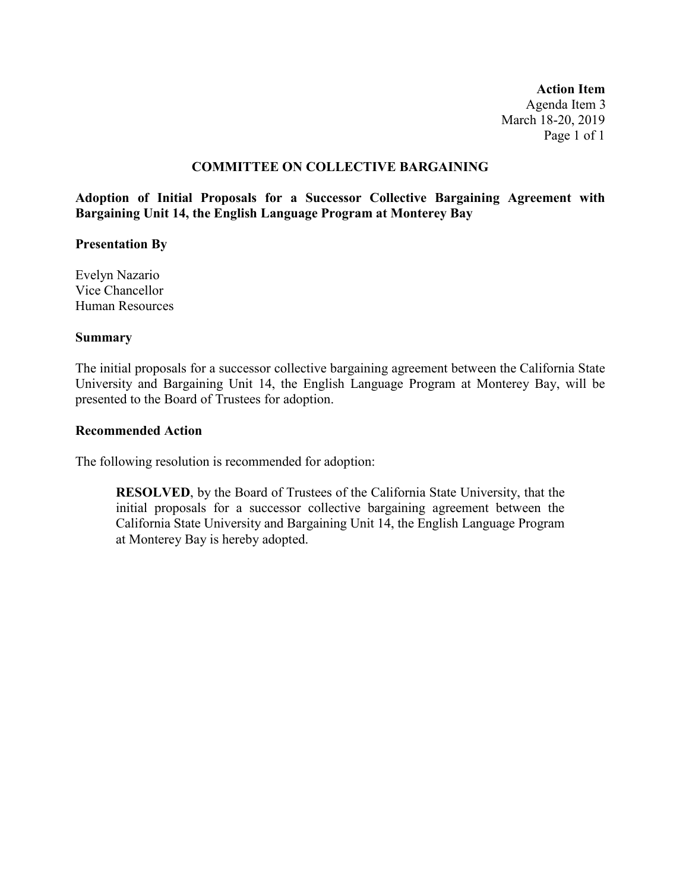**Action Item** Agenda Item 3 March 18-20, 2019 Page 1 of 1

### **COMMITTEE ON COLLECTIVE BARGAINING**

**Adoption of Initial Proposals for a Successor Collective Bargaining Agreement with Bargaining Unit 14, the English Language Program at Monterey Bay**

#### **Presentation By**

Evelyn Nazario Vice Chancellor Human Resources

#### **Summary**

The initial proposals for a successor collective bargaining agreement between the California State University and Bargaining Unit 14, the English Language Program at Monterey Bay, will be presented to the Board of Trustees for adoption.

#### **Recommended Action**

The following resolution is recommended for adoption:

**RESOLVED**, by the Board of Trustees of the California State University, that the initial proposals for a successor collective bargaining agreement between the California State University and Bargaining Unit 14, the English Language Program at Monterey Bay is hereby adopted.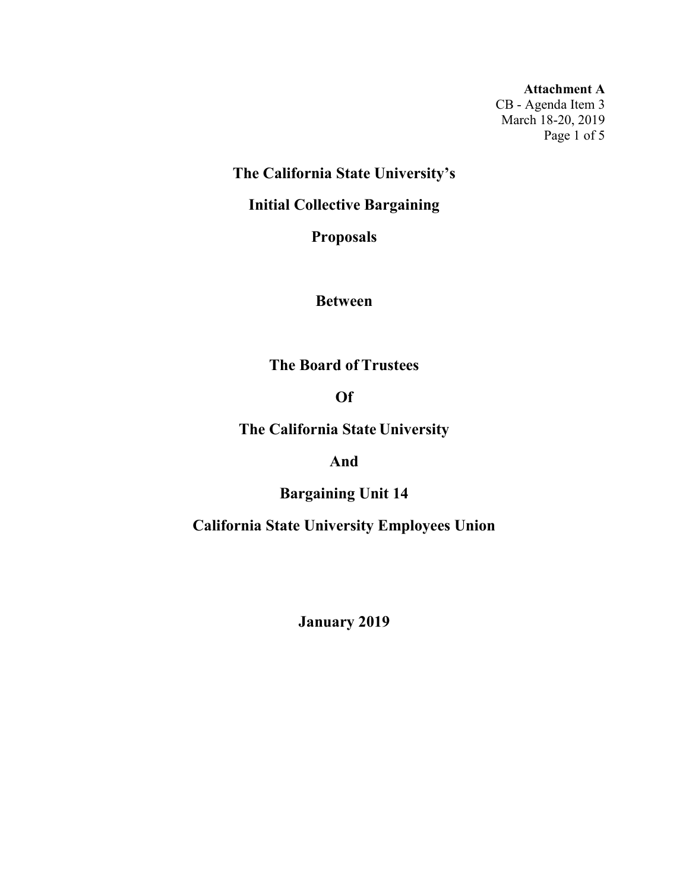**Attachment A** CB - Agenda Item 3 March 18-20, 2019 Page 1 of 5

**The California State University's** 

**Initial Collective Bargaining** 

**Proposals**

**Between**

**The Board of Trustees** 

**Of**

**The California State University** 

**And**

**Bargaining Unit 14**

**California State University Employees Union**

**January 2019**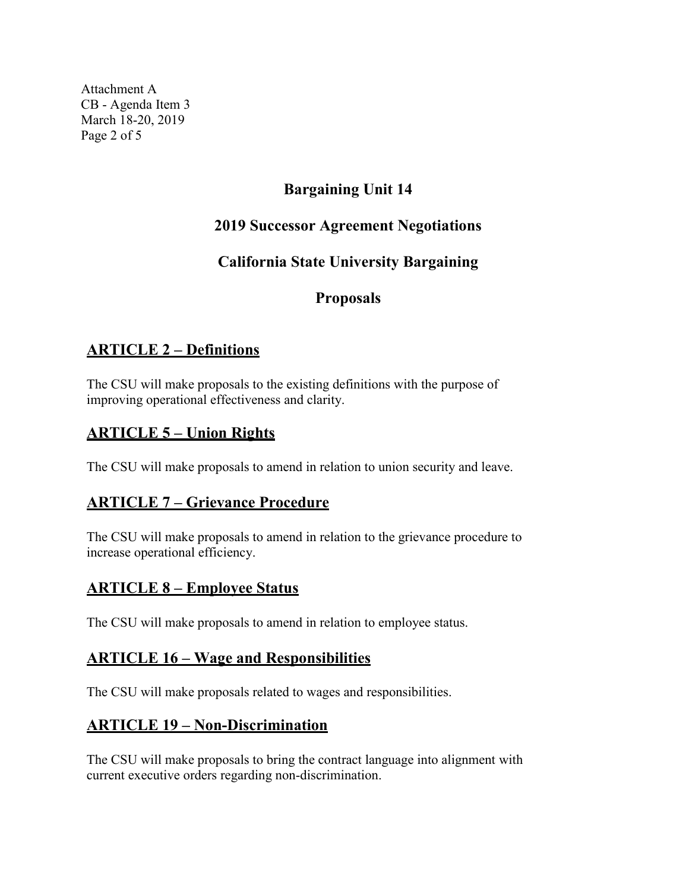Attachment A CB - Agenda Item 3 March 18-20, 2019 Page 2 of 5

# **Bargaining Unit 14**

## **2019 Successor Agreement Negotiations**

# **California State University Bargaining**

## **Proposals**

## **ARTICLE 2 – Definitions**

The CSU will make proposals to the existing definitions with the purpose of improving operational effectiveness and clarity.

## **ARTICLE 5 – Union Rights**

The CSU will make proposals to amend in relation to union security and leave.

# **ARTICLE 7 – Grievance Procedure**

The CSU will make proposals to amend in relation to the grievance procedure to increase operational efficiency.

## **ARTICLE 8 – Employee Status**

The CSU will make proposals to amend in relation to employee status.

## **ARTICLE 16 – Wage and Responsibilities**

The CSU will make proposals related to wages and responsibilities.

## **ARTICLE 19 – Non-Discrimination**

The CSU will make proposals to bring the contract language into alignment with current executive orders regarding non-discrimination.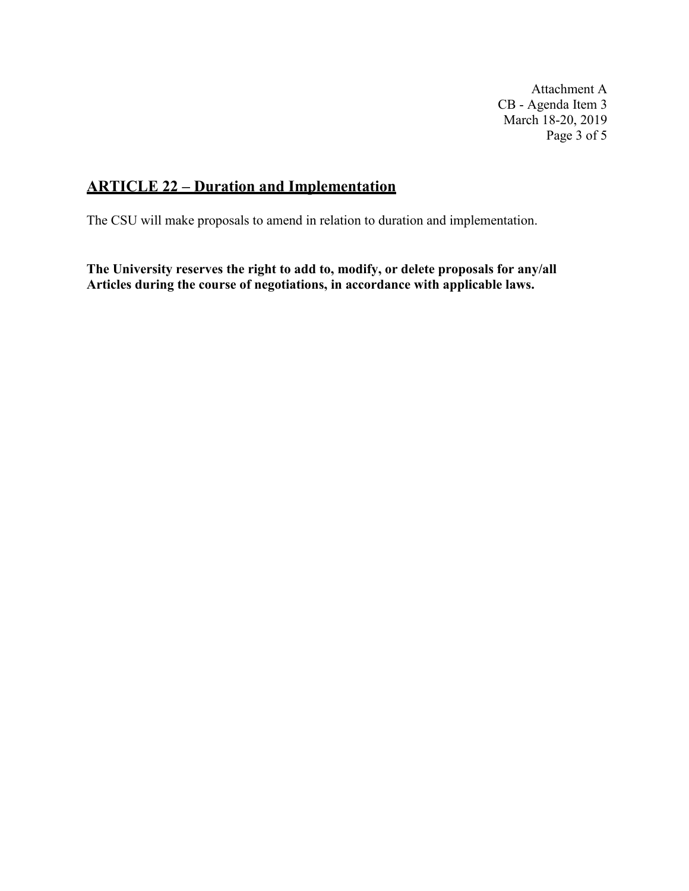Attachment A CB - Agenda Item 3 March 18-20, 2019 Page 3 of 5

## **ARTICLE 22 – Duration and Implementation**

The CSU will make proposals to amend in relation to duration and implementation.

**The University reserves the right to add to, modify, or delete proposals for any/all Articles during the course of negotiations, in accordance with applicable laws.**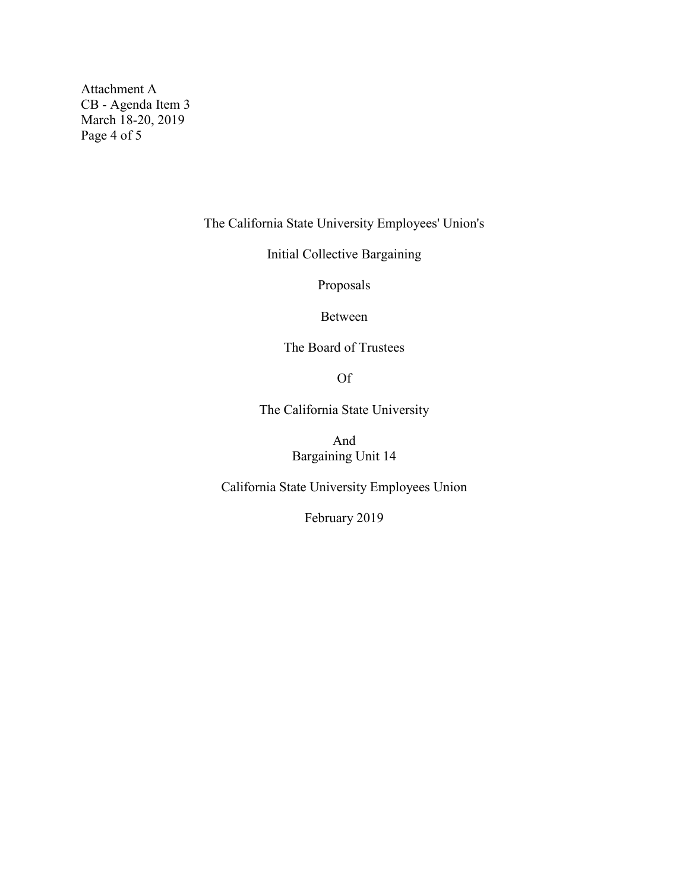Attachment A CB - Agenda Item 3 March 18-20, 2019 Page 4 of 5

The California State University Employees' Union's

Initial Collective Bargaining

Proposals

Between

The Board of Trustees

Of

The California State University

And Bargaining Unit 14

California State University Employees Union

February 2019